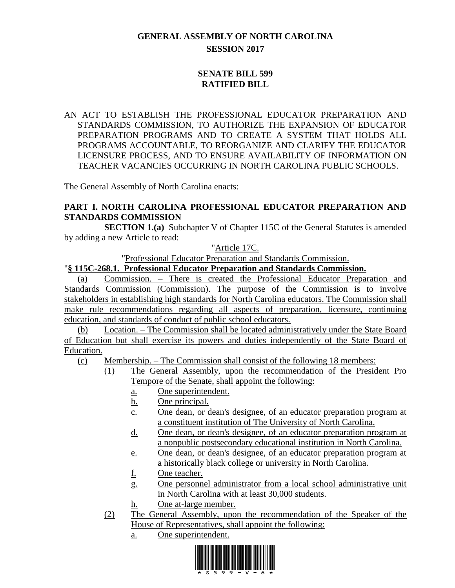# **GENERAL ASSEMBLY OF NORTH CAROLINA SESSION 2017**

# **SENATE BILL 599 RATIFIED BILL**

AN ACT TO ESTABLISH THE PROFESSIONAL EDUCATOR PREPARATION AND STANDARDS COMMISSION, TO AUTHORIZE THE EXPANSION OF EDUCATOR PREPARATION PROGRAMS AND TO CREATE A SYSTEM THAT HOLDS ALL PROGRAMS ACCOUNTABLE, TO REORGANIZE AND CLARIFY THE EDUCATOR LICENSURE PROCESS, AND TO ENSURE AVAILABILITY OF INFORMATION ON TEACHER VACANCIES OCCURRING IN NORTH CAROLINA PUBLIC SCHOOLS.

The General Assembly of North Carolina enacts:

# **PART I. NORTH CAROLINA PROFESSIONAL EDUCATOR PREPARATION AND STANDARDS COMMISSION**

**SECTION 1.(a)** Subchapter V of Chapter 115C of the General Statutes is amended by adding a new Article to read:

"Article 17C.

"Professional Educator Preparation and Standards Commission.

"**§ 115C-268.1. Professional Educator Preparation and Standards Commission.**

(a) Commission. – There is created the Professional Educator Preparation and Standards Commission (Commission). The purpose of the Commission is to involve stakeholders in establishing high standards for North Carolina educators. The Commission shall make rule recommendations regarding all aspects of preparation, licensure, continuing education, and standards of conduct of public school educators.

(b) Location. – The Commission shall be located administratively under the State Board of Education but shall exercise its powers and duties independently of the State Board of Education.

(c) Membership. – The Commission shall consist of the following 18 members:

- (1) The General Assembly, upon the recommendation of the President Pro Tempore of the Senate, shall appoint the following:
	- a. One superintendent.
	- b. One principal.
	- c. One dean, or dean's designee, of an educator preparation program at a constituent institution of The University of North Carolina.
	- d. One dean, or dean's designee, of an educator preparation program at a nonpublic postsecondary educational institution in North Carolina.
	- e. One dean, or dean's designee, of an educator preparation program at a historically black college or university in North Carolina.
	- f. One teacher.
	- g. One personnel administrator from a local school administrative unit in North Carolina with at least 30,000 students.
	- h. One at-large member.
- (2) The General Assembly, upon the recommendation of the Speaker of the House of Representatives, shall appoint the following:
	- a. One superintendent.

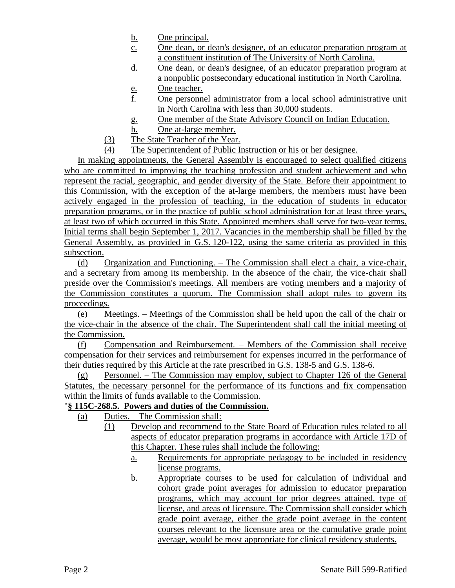- b. One principal.
- c. One dean, or dean's designee, of an educator preparation program at a constituent institution of The University of North Carolina.
- d. One dean, or dean's designee, of an educator preparation program at a nonpublic postsecondary educational institution in North Carolina.
- e. One teacher.
- f. One personnel administrator from a local school administrative unit in North Carolina with less than 30,000 students.
- g. One member of the State Advisory Council on Indian Education.
- h. One at-large member.
- (3) The State Teacher of the Year.
- (4) The Superintendent of Public Instruction or his or her designee.

In making appointments, the General Assembly is encouraged to select qualified citizens who are committed to improving the teaching profession and student achievement and who represent the racial, geographic, and gender diversity of the State. Before their appointment to this Commission, with the exception of the at-large members, the members must have been actively engaged in the profession of teaching, in the education of students in educator preparation programs, or in the practice of public school administration for at least three years, at least two of which occurred in this State. Appointed members shall serve for two-year terms. Initial terms shall begin September 1, 2017. Vacancies in the membership shall be filled by the General Assembly, as provided in G.S. 120-122, using the same criteria as provided in this subsection.

(d) Organization and Functioning. – The Commission shall elect a chair, a vice-chair, and a secretary from among its membership. In the absence of the chair, the vice-chair shall preside over the Commission's meetings. All members are voting members and a majority of the Commission constitutes a quorum. The Commission shall adopt rules to govern its proceedings.

(e) Meetings. – Meetings of the Commission shall be held upon the call of the chair or the vice-chair in the absence of the chair. The Superintendent shall call the initial meeting of the Commission.

(f) Compensation and Reimbursement. – Members of the Commission shall receive compensation for their services and reimbursement for expenses incurred in the performance of their duties required by this Article at the rate prescribed in G.S. 138-5 and G.S. 138-6.

(g) Personnel. – The Commission may employ, subject to Chapter 126 of the General Statutes, the necessary personnel for the performance of its functions and fix compensation within the limits of funds available to the Commission.

# "**§ 115C-268.5. Powers and duties of the Commission.**

- (a) Duties. The Commission shall:
	- (1) Develop and recommend to the State Board of Education rules related to all aspects of educator preparation programs in accordance with Article 17D of this Chapter. These rules shall include the following:
		- a. Requirements for appropriate pedagogy to be included in residency license programs.
		- b. Appropriate courses to be used for calculation of individual and cohort grade point averages for admission to educator preparation programs, which may account for prior degrees attained, type of license, and areas of licensure. The Commission shall consider which grade point average, either the grade point average in the content courses relevant to the licensure area or the cumulative grade point average, would be most appropriate for clinical residency students.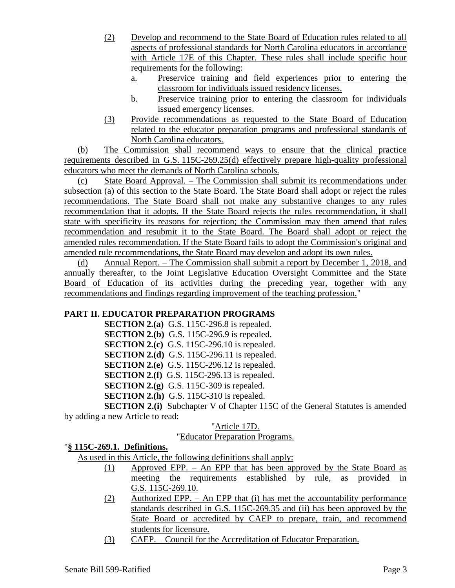- (2) Develop and recommend to the State Board of Education rules related to all aspects of professional standards for North Carolina educators in accordance with Article 17E of this Chapter. These rules shall include specific hour requirements for the following:
	- a. Preservice training and field experiences prior to entering the classroom for individuals issued residency licenses.
	- b. Preservice training prior to entering the classroom for individuals issued emergency licenses.
- (3) Provide recommendations as requested to the State Board of Education related to the educator preparation programs and professional standards of North Carolina educators.

(b) The Commission shall recommend ways to ensure that the clinical practice requirements described in G.S. 115C-269.25(d) effectively prepare high-quality professional educators who meet the demands of North Carolina schools.

(c) State Board Approval. – The Commission shall submit its recommendations under subsection (a) of this section to the State Board. The State Board shall adopt or reject the rules recommendations. The State Board shall not make any substantive changes to any rules recommendation that it adopts. If the State Board rejects the rules recommendation, it shall state with specificity its reasons for rejection; the Commission may then amend that rules recommendation and resubmit it to the State Board. The Board shall adopt or reject the amended rules recommendation. If the State Board fails to adopt the Commission's original and amended rule recommendations, the State Board may develop and adopt its own rules.

(d) Annual Report. – The Commission shall submit a report by December 1, 2018, and annually thereafter, to the Joint Legislative Education Oversight Committee and the State Board of Education of its activities during the preceding year, together with any recommendations and findings regarding improvement of the teaching profession."

# **PART II. EDUCATOR PREPARATION PROGRAMS**

**SECTION 2.(a)** G.S. 115C-296.8 is repealed. **SECTION 2.(b)** G.S. 115C-296.9 is repealed. **SECTION 2.(c)** G.S. 115C-296.10 is repealed. **SECTION 2.(d)** G.S. 115C-296.11 is repealed. **SECTION 2.(e)** G.S. 115C-296.12 is repealed. **SECTION 2.(f)** G.S. 115C-296.13 is repealed. **SECTION 2.(g)** G.S. 115C-309 is repealed. **SECTION 2.(h)** G.S. 115C-310 is repealed. **SECTION 2.(i)** Subchapter V of Chapter 115C of the General Statutes is amended

by adding a new Article to read:

# "Article 17D.

# "Educator Preparation Programs.

# "**§ 115C-269.1. Definitions.**

As used in this Article, the following definitions shall apply:

- (1) Approved EPP. An EPP that has been approved by the State Board as meeting the requirements established by rule, as provided in G.S. 115C-269.10.
- (2) Authorized EPP. An EPP that (i) has met the accountability performance standards described in G.S. 115C-269.35 and (ii) has been approved by the State Board or accredited by CAEP to prepare, train, and recommend students for licensure.
- (3) CAEP. Council for the Accreditation of Educator Preparation.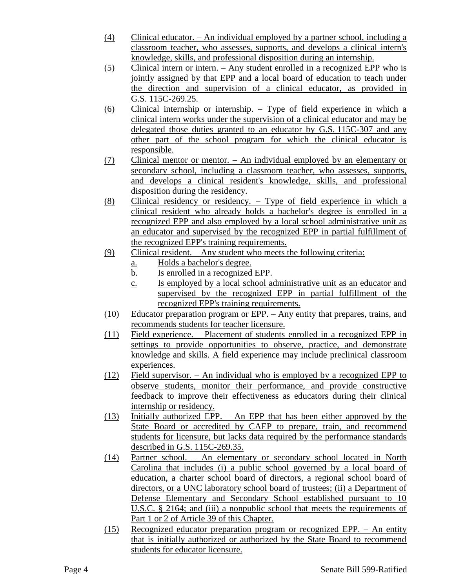- (4) Clinical educator. An individual employed by a partner school, including a classroom teacher, who assesses, supports, and develops a clinical intern's knowledge, skills, and professional disposition during an internship.
- (5) Clinical intern or intern. Any student enrolled in a recognized EPP who is jointly assigned by that EPP and a local board of education to teach under the direction and supervision of a clinical educator, as provided in G.S. 115C-269.25.
- (6) Clinical internship or internship. Type of field experience in which a clinical intern works under the supervision of a clinical educator and may be delegated those duties granted to an educator by G.S. 115C-307 and any other part of the school program for which the clinical educator is responsible.
- (7) Clinical mentor or mentor. An individual employed by an elementary or secondary school, including a classroom teacher, who assesses, supports, and develops a clinical resident's knowledge, skills, and professional disposition during the residency.
- (8) Clinical residency or residency. Type of field experience in which a clinical resident who already holds a bachelor's degree is enrolled in a recognized EPP and also employed by a local school administrative unit as an educator and supervised by the recognized EPP in partial fulfillment of the recognized EPP's training requirements.
- (9) Clinical resident. Any student who meets the following criteria:
	- a. Holds a bachelor's degree.
	- b. Is enrolled in a recognized EPP.
	- c. Is employed by a local school administrative unit as an educator and supervised by the recognized EPP in partial fulfillment of the recognized EPP's training requirements.
- (10) Educator preparation program or EPP. Any entity that prepares, trains, and recommends students for teacher licensure.
- (11) Field experience. Placement of students enrolled in a recognized EPP in settings to provide opportunities to observe, practice, and demonstrate knowledge and skills. A field experience may include preclinical classroom experiences.
- (12) Field supervisor. An individual who is employed by a recognized EPP to observe students, monitor their performance, and provide constructive feedback to improve their effectiveness as educators during their clinical internship or residency.
- (13) Initially authorized EPP. An EPP that has been either approved by the State Board or accredited by CAEP to prepare, train, and recommend students for licensure, but lacks data required by the performance standards described in G.S. 115C-269.35.
- (14) Partner school. An elementary or secondary school located in North Carolina that includes (i) a public school governed by a local board of education, a charter school board of directors, a regional school board of directors, or a UNC laboratory school board of trustees; (ii) a Department of Defense Elementary and Secondary School established pursuant to 10 U.S.C. § 2164; and (iii) a nonpublic school that meets the requirements of Part 1 or 2 of Article 39 of this Chapter.
- (15) Recognized educator preparation program or recognized EPP. An entity that is initially authorized or authorized by the State Board to recommend students for educator licensure.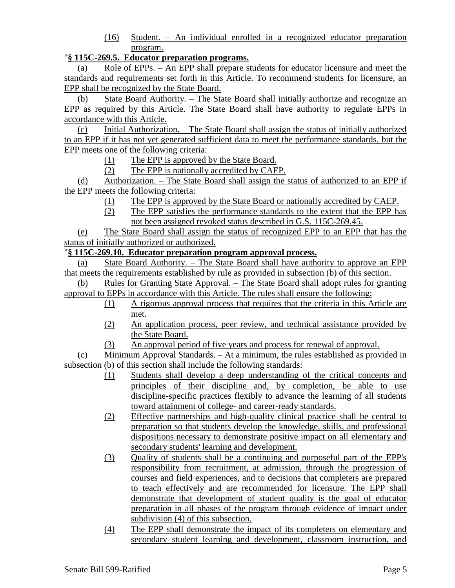(16) Student. – An individual enrolled in a recognized educator preparation program.

### "**§ 115C-269.5. Educator preparation programs.**

(a) Role of EPPs. – An EPP shall prepare students for educator licensure and meet the standards and requirements set forth in this Article. To recommend students for licensure, an EPP shall be recognized by the State Board.

(b) State Board Authority. – The State Board shall initially authorize and recognize an EPP as required by this Article. The State Board shall have authority to regulate EPPs in accordance with this Article.

(c) Initial Authorization. – The State Board shall assign the status of initially authorized to an EPP if it has not yet generated sufficient data to meet the performance standards, but the EPP meets one of the following criteria:

- (1) The EPP is approved by the State Board.
- (2) The EPP is nationally accredited by CAEP.

(d) Authorization. – The State Board shall assign the status of authorized to an EPP if the EPP meets the following criteria:

- (1) The EPP is approved by the State Board or nationally accredited by CAEP.
- (2) The EPP satisfies the performance standards to the extent that the EPP has not been assigned revoked status described in G.S. 115C-269.45.

(e) The State Board shall assign the status of recognized EPP to an EPP that has the status of initially authorized or authorized.

### "**§ 115C-269.10. Educator preparation program approval process.**

(a) State Board Authority. – The State Board shall have authority to approve an EPP that meets the requirements established by rule as provided in subsection (b) of this section.

(b) Rules for Granting State Approval. – The State Board shall adopt rules for granting approval to EPPs in accordance with this Article. The rules shall ensure the following:

- (1) A rigorous approval process that requires that the criteria in this Article are met.
- (2) An application process, peer review, and technical assistance provided by the State Board.
- (3) An approval period of five years and process for renewal of approval.

(c) Minimum Approval Standards. – At a minimum, the rules established as provided in subsection (b) of this section shall include the following standards:

- (1) Students shall develop a deep understanding of the critical concepts and principles of their discipline and, by completion, be able to use discipline-specific practices flexibly to advance the learning of all students toward attainment of college- and career-ready standards.
- (2) Effective partnerships and high-quality clinical practice shall be central to preparation so that students develop the knowledge, skills, and professional dispositions necessary to demonstrate positive impact on all elementary and secondary students' learning and development.
- (3) Quality of students shall be a continuing and purposeful part of the EPP's responsibility from recruitment, at admission, through the progression of courses and field experiences, and to decisions that completers are prepared to teach effectively and are recommended for licensure. The EPP shall demonstrate that development of student quality is the goal of educator preparation in all phases of the program through evidence of impact under subdivision (4) of this subsection.
- (4) The EPP shall demonstrate the impact of its completers on elementary and secondary student learning and development, classroom instruction, and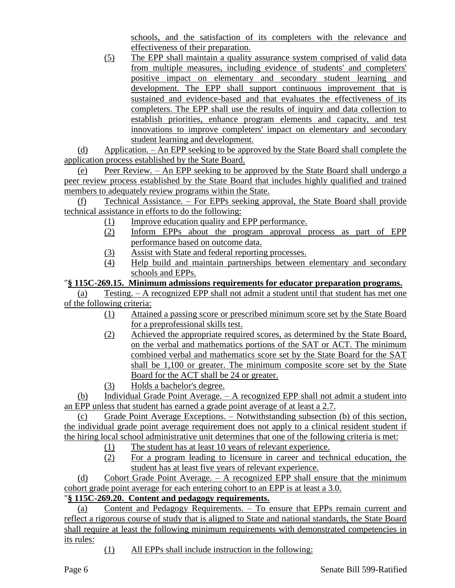schools, and the satisfaction of its completers with the relevance and effectiveness of their preparation.

(5) The EPP shall maintain a quality assurance system comprised of valid data from multiple measures, including evidence of students' and completers' positive impact on elementary and secondary student learning and development. The EPP shall support continuous improvement that is sustained and evidence-based and that evaluates the effectiveness of its completers. The EPP shall use the results of inquiry and data collection to establish priorities, enhance program elements and capacity, and test innovations to improve completers' impact on elementary and secondary student learning and development.

(d) Application. – An EPP seeking to be approved by the State Board shall complete the application process established by the State Board.

(e) Peer Review. – An EPP seeking to be approved by the State Board shall undergo a peer review process established by the State Board that includes highly qualified and trained members to adequately review programs within the State.

(f) Technical Assistance. – For EPPs seeking approval, the State Board shall provide technical assistance in efforts to do the following:

- (1) Improve education quality and EPP performance.
- (2) Inform EPPs about the program approval process as part of EPP performance based on outcome data.
- (3) Assist with State and federal reporting processes.
- (4) Help build and maintain partnerships between elementary and secondary schools and EPPs.

"**§ 115C-269.15. Minimum admissions requirements for educator preparation programs.**

(a) Testing. – A recognized EPP shall not admit a student until that student has met one of the following criteria:

- (1) Attained a passing score or prescribed minimum score set by the State Board for a preprofessional skills test.
- (2) Achieved the appropriate required scores, as determined by the State Board, on the verbal and mathematics portions of the SAT or ACT. The minimum combined verbal and mathematics score set by the State Board for the SAT shall be 1,100 or greater. The minimum composite score set by the State Board for the ACT shall be 24 or greater.
- (3) Holds a bachelor's degree.

(b) Individual Grade Point Average. – A recognized EPP shall not admit a student into an EPP unless that student has earned a grade point average of at least a 2.7.

(c) Grade Point Average Exceptions. – Notwithstanding subsection (b) of this section, the individual grade point average requirement does not apply to a clinical resident student if the hiring local school administrative unit determines that one of the following criteria is met:

- (1) The student has at least 10 years of relevant experience.
- (2) For a program leading to licensure in career and technical education, the student has at least five years of relevant experience.

(d) Cohort Grade Point Average. – A recognized EPP shall ensure that the minimum cohort grade point average for each entering cohort to an EPP is at least a 3.0.

# "**§ 115C-269.20. Content and pedagogy requirements.**

(a) Content and Pedagogy Requirements. – To ensure that EPPs remain current and reflect a rigorous course of study that is aligned to State and national standards, the State Board shall require at least the following minimum requirements with demonstrated competencies in its rules:

(1) All EPPs shall include instruction in the following: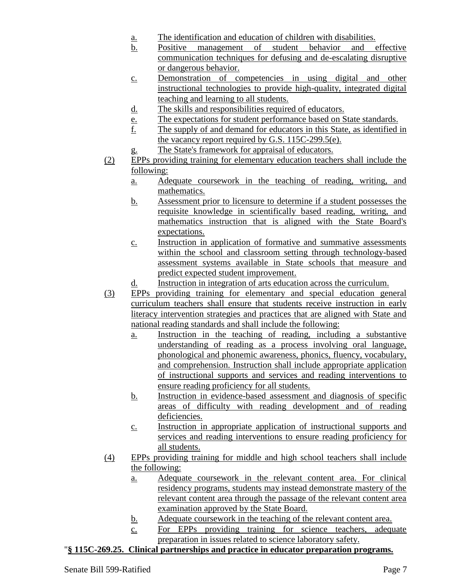- a. The identification and education of children with disabilities.
- b. Positive management of student behavior and effective communication techniques for defusing and de-escalating disruptive or dangerous behavior.
- c. Demonstration of competencies in using digital and other instructional technologies to provide high-quality, integrated digital teaching and learning to all students.
- d. The skills and responsibilities required of educators.
- e. The expectations for student performance based on State standards.
- f. The supply of and demand for educators in this State, as identified in the vacancy report required by G.S. 115C-299.5(e).
- g. The State's framework for appraisal of educators.
- (2) EPPs providing training for elementary education teachers shall include the following:
	- a. Adequate coursework in the teaching of reading, writing, and mathematics.
	- b. Assessment prior to licensure to determine if a student possesses the requisite knowledge in scientifically based reading, writing, and mathematics instruction that is aligned with the State Board's expectations.
	- c. Instruction in application of formative and summative assessments within the school and classroom setting through technology-based assessment systems available in State schools that measure and predict expected student improvement.
	- d. Instruction in integration of arts education across the curriculum.
- (3) EPPs providing training for elementary and special education general curriculum teachers shall ensure that students receive instruction in early literacy intervention strategies and practices that are aligned with State and national reading standards and shall include the following:
	- a. Instruction in the teaching of reading, including a substantive understanding of reading as a process involving oral language, phonological and phonemic awareness, phonics, fluency, vocabulary, and comprehension. Instruction shall include appropriate application of instructional supports and services and reading interventions to ensure reading proficiency for all students.
	- b. Instruction in evidence-based assessment and diagnosis of specific areas of difficulty with reading development and of reading deficiencies.
	- c. Instruction in appropriate application of instructional supports and services and reading interventions to ensure reading proficiency for all students.
- (4) EPPs providing training for middle and high school teachers shall include the following:
	- a. Adequate coursework in the relevant content area. For clinical residency programs, students may instead demonstrate mastery of the relevant content area through the passage of the relevant content area examination approved by the State Board.
	- b. Adequate coursework in the teaching of the relevant content area.
	- c. For EPPs providing training for science teachers, adequate preparation in issues related to science laboratory safety.

# "**§ 115C-269.25. Clinical partnerships and practice in educator preparation programs.**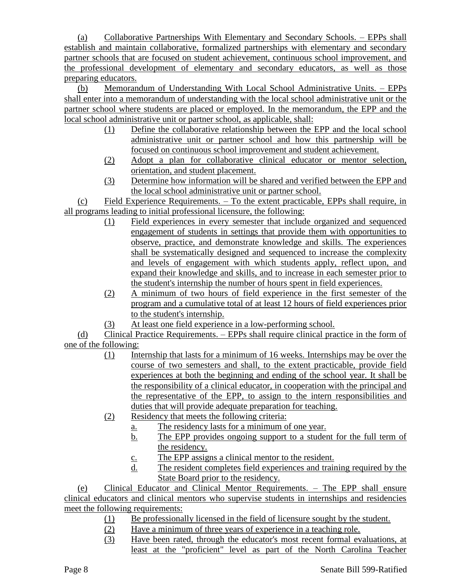(a) Collaborative Partnerships With Elementary and Secondary Schools. – EPPs shall establish and maintain collaborative, formalized partnerships with elementary and secondary partner schools that are focused on student achievement, continuous school improvement, and the professional development of elementary and secondary educators, as well as those preparing educators.

(b) Memorandum of Understanding With Local School Administrative Units. – EPPs shall enter into a memorandum of understanding with the local school administrative unit or the partner school where students are placed or employed. In the memorandum, the EPP and the local school administrative unit or partner school, as applicable, shall:

- (1) Define the collaborative relationship between the EPP and the local school administrative unit or partner school and how this partnership will be focused on continuous school improvement and student achievement.
- (2) Adopt a plan for collaborative clinical educator or mentor selection, orientation, and student placement.
- (3) Determine how information will be shared and verified between the EPP and the local school administrative unit or partner school.

(c) Field Experience Requirements. – To the extent practicable, EPPs shall require, in all programs leading to initial professional licensure, the following:

- (1) Field experiences in every semester that include organized and sequenced engagement of students in settings that provide them with opportunities to observe, practice, and demonstrate knowledge and skills. The experiences shall be systematically designed and sequenced to increase the complexity and levels of engagement with which students apply, reflect upon, and expand their knowledge and skills, and to increase in each semester prior to the student's internship the number of hours spent in field experiences.
- (2) A minimum of two hours of field experience in the first semester of the program and a cumulative total of at least 12 hours of field experiences prior to the student's internship.
- (3) At least one field experience in a low-performing school.

(d) Clinical Practice Requirements. – EPPs shall require clinical practice in the form of one of the following:

- (1) Internship that lasts for a minimum of 16 weeks. Internships may be over the course of two semesters and shall, to the extent practicable, provide field experiences at both the beginning and ending of the school year. It shall be the responsibility of a clinical educator, in cooperation with the principal and the representative of the EPP, to assign to the intern responsibilities and duties that will provide adequate preparation for teaching.
- (2) Residency that meets the following criteria:
	- a. The residency lasts for a minimum of one year.
	- b. The EPP provides ongoing support to a student for the full term of the residency.
	- c. The EPP assigns a clinical mentor to the resident.
	- d. The resident completes field experiences and training required by the State Board prior to the residency.

(e) Clinical Educator and Clinical Mentor Requirements. – The EPP shall ensure clinical educators and clinical mentors who supervise students in internships and residencies meet the following requirements:

- (1) Be professionally licensed in the field of licensure sought by the student.
- (2) Have a minimum of three years of experience in a teaching role.
- (3) Have been rated, through the educator's most recent formal evaluations, at least at the "proficient" level as part of the North Carolina Teacher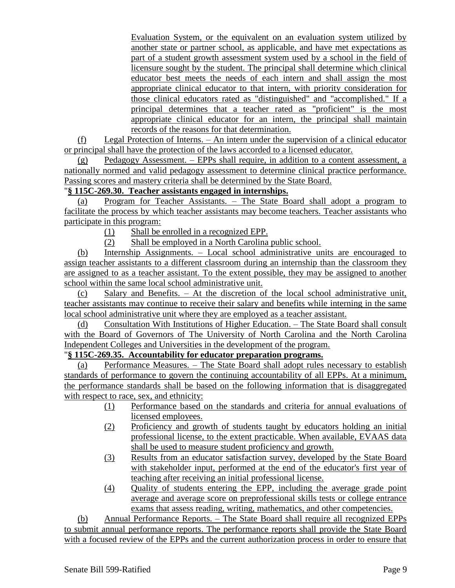Evaluation System, or the equivalent on an evaluation system utilized by another state or partner school, as applicable, and have met expectations as part of a student growth assessment system used by a school in the field of licensure sought by the student. The principal shall determine which clinical educator best meets the needs of each intern and shall assign the most appropriate clinical educator to that intern, with priority consideration for those clinical educators rated as "distinguished" and "accomplished." If a principal determines that a teacher rated as "proficient" is the most appropriate clinical educator for an intern, the principal shall maintain records of the reasons for that determination.

(f) Legal Protection of Interns. – An intern under the supervision of a clinical educator or principal shall have the protection of the laws accorded to a licensed educator.

(g) Pedagogy Assessment. – EPPs shall require, in addition to a content assessment, a nationally normed and valid pedagogy assessment to determine clinical practice performance. Passing scores and mastery criteria shall be determined by the State Board.

# "**§ 115C-269.30. Teacher assistants engaged in internships.**

(a) Program for Teacher Assistants. – The State Board shall adopt a program to facilitate the process by which teacher assistants may become teachers. Teacher assistants who participate in this program:

(1) Shall be enrolled in a recognized EPP.

(2) Shall be employed in a North Carolina public school.

(b) Internship Assignments. – Local school administrative units are encouraged to assign teacher assistants to a different classroom during an internship than the classroom they are assigned to as a teacher assistant. To the extent possible, they may be assigned to another school within the same local school administrative unit.

(c) Salary and Benefits. – At the discretion of the local school administrative unit, teacher assistants may continue to receive their salary and benefits while interning in the same local school administrative unit where they are employed as a teacher assistant.

(d) Consultation With Institutions of Higher Education. – The State Board shall consult with the Board of Governors of The University of North Carolina and the North Carolina Independent Colleges and Universities in the development of the program.

# "**§ 115C-269.35. Accountability for educator preparation programs.**

(a) Performance Measures. – The State Board shall adopt rules necessary to establish standards of performance to govern the continuing accountability of all EPPs. At a minimum, the performance standards shall be based on the following information that is disaggregated with respect to race, sex, and ethnicity:

- (1) Performance based on the standards and criteria for annual evaluations of licensed employees.
- (2) Proficiency and growth of students taught by educators holding an initial professional license, to the extent practicable. When available, EVAAS data shall be used to measure student proficiency and growth.
- (3) Results from an educator satisfaction survey, developed by the State Board with stakeholder input, performed at the end of the educator's first year of teaching after receiving an initial professional license.
- (4) Quality of students entering the EPP, including the average grade point average and average score on preprofessional skills tests or college entrance exams that assess reading, writing, mathematics, and other competencies.

(b) Annual Performance Reports. – The State Board shall require all recognized EPPs to submit annual performance reports. The performance reports shall provide the State Board with a focused review of the EPPs and the current authorization process in order to ensure that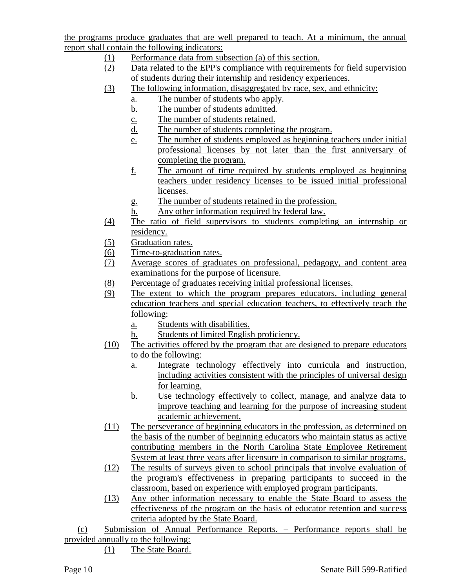the programs produce graduates that are well prepared to teach. At a minimum, the annual report shall contain the following indicators:

- (1) Performance data from subsection (a) of this section.
- (2) Data related to the EPP's compliance with requirements for field supervision of students during their internship and residency experiences.
- (3) The following information, disaggregated by race, sex, and ethnicity:
	- a. The number of students who apply.
	- b. The number of students admitted.
	- c. The number of students retained.
	- d. The number of students completing the program.
	- e. The number of students employed as beginning teachers under initial professional licenses by not later than the first anniversary of completing the program.
	- f. The amount of time required by students employed as beginning teachers under residency licenses to be issued initial professional licenses.
	- g. The number of students retained in the profession.
	- h. Any other information required by federal law.
- (4) The ratio of field supervisors to students completing an internship or residency.
- (5) Graduation rates.
- (6) Time-to-graduation rates.
- (7) Average scores of graduates on professional, pedagogy, and content area examinations for the purpose of licensure.
- (8) Percentage of graduates receiving initial professional licenses.
- (9) The extent to which the program prepares educators, including general education teachers and special education teachers, to effectively teach the following:
	- a. Students with disabilities.
	- b. Students of limited English proficiency.
- (10) The activities offered by the program that are designed to prepare educators to do the following:
	- a. Integrate technology effectively into curricula and instruction, including activities consistent with the principles of universal design for learning.
	- b. Use technology effectively to collect, manage, and analyze data to improve teaching and learning for the purpose of increasing student academic achievement.
- (11) The perseverance of beginning educators in the profession, as determined on the basis of the number of beginning educators who maintain status as active contributing members in the North Carolina State Employee Retirement System at least three years after licensure in comparison to similar programs.
- (12) The results of surveys given to school principals that involve evaluation of the program's effectiveness in preparing participants to succeed in the classroom, based on experience with employed program participants.
- (13) Any other information necessary to enable the State Board to assess the effectiveness of the program on the basis of educator retention and success criteria adopted by the State Board.
- (c) Submission of Annual Performance Reports. Performance reports shall be provided annually to the following:
	- (1) The State Board.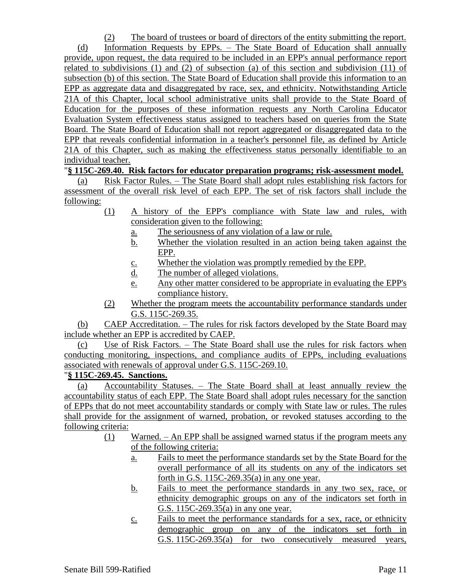(2) The board of trustees or board of directors of the entity submitting the report.

(d) Information Requests by EPPs. – The State Board of Education shall annually provide, upon request, the data required to be included in an EPP's annual performance report related to subdivisions  $(1)$  and  $(2)$  of subsection  $(a)$  of this section and subdivision  $(11)$  of subsection (b) of this section. The State Board of Education shall provide this information to an EPP as aggregate data and disaggregated by race, sex, and ethnicity. Notwithstanding Article 21A of this Chapter, local school administrative units shall provide to the State Board of Education for the purposes of these information requests any North Carolina Educator Evaluation System effectiveness status assigned to teachers based on queries from the State Board. The State Board of Education shall not report aggregated or disaggregated data to the EPP that reveals confidential information in a teacher's personnel file, as defined by Article 21A of this Chapter, such as making the effectiveness status personally identifiable to an individual teacher.

### "**§ 115C-269.40. Risk factors for educator preparation programs; risk-assessment model.**

(a) Risk Factor Rules. – The State Board shall adopt rules establishing risk factors for assessment of the overall risk level of each EPP. The set of risk factors shall include the following:

- (1) A history of the EPP's compliance with State law and rules, with consideration given to the following:
	- a. The seriousness of any violation of a law or rule.
	- b. Whether the violation resulted in an action being taken against the EPP.
	- c. Whether the violation was promptly remedied by the EPP.
	- d. The number of alleged violations.
	- e. Any other matter considered to be appropriate in evaluating the EPP's compliance history.
- (2) Whether the program meets the accountability performance standards under G.S. 115C-269.35.

(b) CAEP Accreditation. – The rules for risk factors developed by the State Board may include whether an EPP is accredited by CAEP.

(c) Use of Risk Factors. – The State Board shall use the rules for risk factors when conducting monitoring, inspections, and compliance audits of EPPs, including evaluations associated with renewals of approval under G.S. 115C-269.10.

#### "**§ 115C-269.45. Sanctions.**

(a) Accountability Statuses. – The State Board shall at least annually review the accountability status of each EPP. The State Board shall adopt rules necessary for the sanction of EPPs that do not meet accountability standards or comply with State law or rules. The rules shall provide for the assignment of warned, probation, or revoked statuses according to the following criteria:

- (1) Warned. An EPP shall be assigned warned status if the program meets any of the following criteria:
	- a. Fails to meet the performance standards set by the State Board for the overall performance of all its students on any of the indicators set forth in G.S.  $115C-269.35(a)$  in any one year.
	- b. Fails to meet the performance standards in any two sex, race, or ethnicity demographic groups on any of the indicators set forth in G.S. 115C-269.35(a) in any one year.
	- c. Fails to meet the performance standards for a sex, race, or ethnicity demographic group on any of the indicators set forth in G.S. 115C-269.35(a) for two consecutively measured years,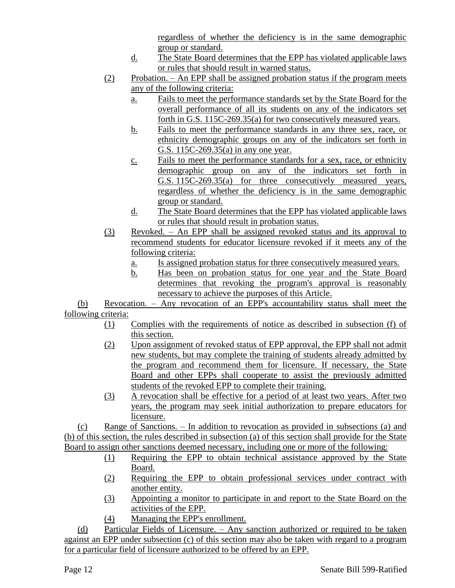regardless of whether the deficiency is in the same demographic group or standard.

- d. The State Board determines that the EPP has violated applicable laws or rules that should result in warned status.
- (2) Probation. An EPP shall be assigned probation status if the program meets any of the following criteria:
	- a. Fails to meet the performance standards set by the State Board for the overall performance of all its students on any of the indicators set forth in G.S. 115C-269.35(a) for two consecutively measured years.
	- b. Fails to meet the performance standards in any three sex, race, or ethnicity demographic groups on any of the indicators set forth in G.S. 115C-269.35(a) in any one year.
	- c. Fails to meet the performance standards for a sex, race, or ethnicity demographic group on any of the indicators set forth in G.S. 115C-269.35(a) for three consecutively measured years, regardless of whether the deficiency is in the same demographic group or standard.
	- d. The State Board determines that the EPP has violated applicable laws or rules that should result in probation status.
- (3) Revoked. An EPP shall be assigned revoked status and its approval to recommend students for educator licensure revoked if it meets any of the following criteria:
	- a. Is assigned probation status for three consecutively measured years.
	- b. Has been on probation status for one year and the State Board determines that revoking the program's approval is reasonably necessary to achieve the purposes of this Article.

(b) Revocation. – Any revocation of an EPP's accountability status shall meet the following criteria:

- (1) Complies with the requirements of notice as described in subsection (f) of this section.
- (2) Upon assignment of revoked status of EPP approval, the EPP shall not admit new students, but may complete the training of students already admitted by the program and recommend them for licensure. If necessary, the State Board and other EPPs shall cooperate to assist the previously admitted students of the revoked EPP to complete their training.
- (3) A revocation shall be effective for a period of at least two years. After two years, the program may seek initial authorization to prepare educators for licensure.

(c) Range of Sanctions. – In addition to revocation as provided in subsections (a) and (b) of this section, the rules described in subsection (a) of this section shall provide for the State Board to assign other sanctions deemed necessary, including one or more of the following:

- (1) Requiring the EPP to obtain technical assistance approved by the State Board.
- (2) Requiring the EPP to obtain professional services under contract with another entity.
- (3) Appointing a monitor to participate in and report to the State Board on the activities of the EPP.
- (4) Managing the EPP's enrollment.

(d) Particular Fields of Licensure. – Any sanction authorized or required to be taken against an EPP under subsection (c) of this section may also be taken with regard to a program for a particular field of licensure authorized to be offered by an EPP.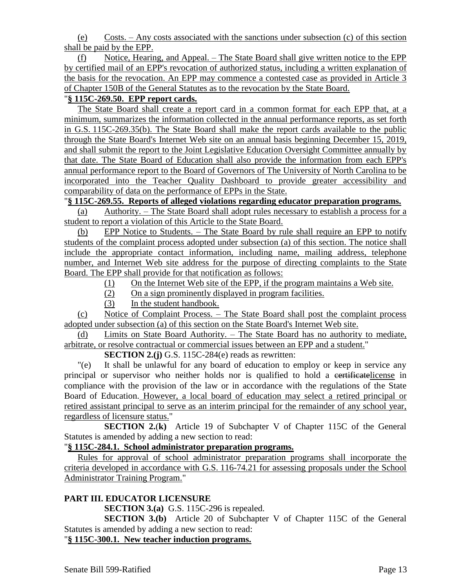(e) Costs. – Any costs associated with the sanctions under subsection (c) of this section shall be paid by the EPP.

(f) Notice, Hearing, and Appeal. – The State Board shall give written notice to the EPP by certified mail of an EPP's revocation of authorized status, including a written explanation of the basis for the revocation. An EPP may commence a contested case as provided in Article 3 of Chapter 150B of the General Statutes as to the revocation by the State Board.

# "**§ 115C-269.50. EPP report cards.**

The State Board shall create a report card in a common format for each EPP that, at a minimum, summarizes the information collected in the annual performance reports, as set forth in G.S. 115C-269.35(b). The State Board shall make the report cards available to the public through the State Board's Internet Web site on an annual basis beginning December 15, 2019, and shall submit the report to the Joint Legislative Education Oversight Committee annually by that date. The State Board of Education shall also provide the information from each EPP's annual performance report to the Board of Governors of The University of North Carolina to be incorporated into the Teacher Quality Dashboard to provide greater accessibility and comparability of data on the performance of EPPs in the State.

# "**§ 115C-269.55. Reports of alleged violations regarding educator preparation programs.**

(a) Authority. – The State Board shall adopt rules necessary to establish a process for a student to report a violation of this Article to the State Board.

(b) EPP Notice to Students. – The State Board by rule shall require an EPP to notify students of the complaint process adopted under subsection (a) of this section. The notice shall include the appropriate contact information, including name, mailing address, telephone number, and Internet Web site address for the purpose of directing complaints to the State Board. The EPP shall provide for that notification as follows:

(1) On the Internet Web site of the EPP, if the program maintains a Web site.

- (2) On a sign prominently displayed in program facilities.
- (3) In the student handbook.

(c) Notice of Complaint Process. – The State Board shall post the complaint process adopted under subsection (a) of this section on the State Board's Internet Web site.

(d) Limits on State Board Authority. – The State Board has no authority to mediate, arbitrate, or resolve contractual or commercial issues between an EPP and a student."

**SECTION 2.(j)** G.S. 115C-284(e) reads as rewritten:

"(e) It shall be unlawful for any board of education to employ or keep in service any principal or supervisor who neither holds nor is qualified to hold a contribution estimate in compliance with the provision of the law or in accordance with the regulations of the State Board of Education. However, a local board of education may select a retired principal or retired assistant principal to serve as an interim principal for the remainder of any school year, regardless of licensure status."

**SECTION 2.**(**k)** Article 19 of Subchapter V of Chapter 115C of the General Statutes is amended by adding a new section to read:

### "**§ 115C-284.1. School administrator preparation programs.**

Rules for approval of school administrator preparation programs shall incorporate the criteria developed in accordance with G.S. 116-74.21 for assessing proposals under the School Administrator Training Program."

# **PART III. EDUCATOR LICENSURE**

**SECTION 3.(a)** G.S. 115C-296 is repealed.

**SECTION 3.(b)** Article 20 of Subchapter V of Chapter 115C of the General Statutes is amended by adding a new section to read:

"**§ 115C-300.1. New teacher induction programs.**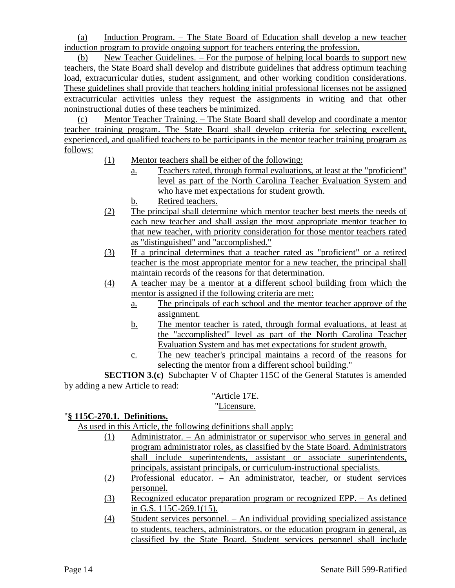(a) Induction Program. – The State Board of Education shall develop a new teacher induction program to provide ongoing support for teachers entering the profession.

(b) New Teacher Guidelines. – For the purpose of helping local boards to support new teachers, the State Board shall develop and distribute guidelines that address optimum teaching load, extracurricular duties, student assignment, and other working condition considerations. These guidelines shall provide that teachers holding initial professional licenses not be assigned extracurricular activities unless they request the assignments in writing and that other noninstructional duties of these teachers be minimized.

(c) Mentor Teacher Training. – The State Board shall develop and coordinate a mentor teacher training program. The State Board shall develop criteria for selecting excellent, experienced, and qualified teachers to be participants in the mentor teacher training program as follows:

- (1) Mentor teachers shall be either of the following:
	- a. Teachers rated, through formal evaluations, at least at the "proficient" level as part of the North Carolina Teacher Evaluation System and who have met expectations for student growth.
	- b. Retired teachers.
- (2) The principal shall determine which mentor teacher best meets the needs of each new teacher and shall assign the most appropriate mentor teacher to that new teacher, with priority consideration for those mentor teachers rated as "distinguished" and "accomplished."
- (3) If a principal determines that a teacher rated as "proficient" or a retired teacher is the most appropriate mentor for a new teacher, the principal shall maintain records of the reasons for that determination.
- (4) A teacher may be a mentor at a different school building from which the mentor is assigned if the following criteria are met:
	- a. The principals of each school and the mentor teacher approve of the assignment.
	- b. The mentor teacher is rated, through formal evaluations, at least at the "accomplished" level as part of the North Carolina Teacher Evaluation System and has met expectations for student growth.
	- c. The new teacher's principal maintains a record of the reasons for selecting the mentor from a different school building."

**SECTION 3.(c)** Subchapter V of Chapter 115C of the General Statutes is amended by adding a new Article to read:

# "Article 17E.

# "Licensure.

# "**§ 115C-270.1. Definitions.**

As used in this Article, the following definitions shall apply:

- (1) Administrator. An administrator or supervisor who serves in general and program administrator roles, as classified by the State Board. Administrators shall include superintendents, assistant or associate superintendents, principals, assistant principals, or curriculum-instructional specialists.
- (2) Professional educator. An administrator, teacher, or student services personnel.
- (3) Recognized educator preparation program or recognized EPP. As defined in G.S. 115C-269.1(15).
- (4) Student services personnel. An individual providing specialized assistance to students, teachers, administrators, or the education program in general, as classified by the State Board. Student services personnel shall include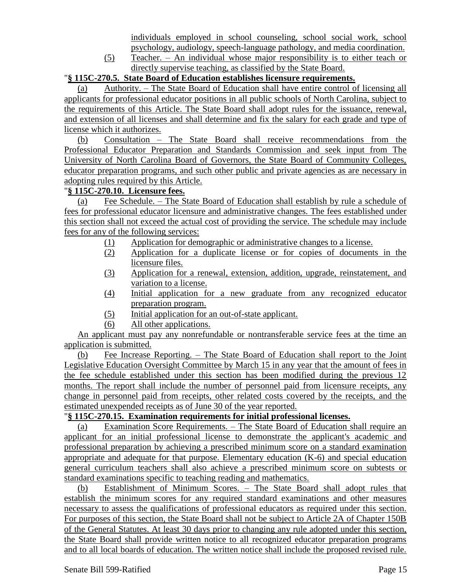individuals employed in school counseling, school social work, school psychology, audiology, speech-language pathology, and media coordination.

(5) Teacher. – An individual whose major responsibility is to either teach or directly supervise teaching, as classified by the State Board.

### "**§ 115C-270.5. State Board of Education establishes licensure requirements.**

(a) Authority. – The State Board of Education shall have entire control of licensing all applicants for professional educator positions in all public schools of North Carolina, subject to the requirements of this Article. The State Board shall adopt rules for the issuance, renewal, and extension of all licenses and shall determine and fix the salary for each grade and type of license which it authorizes.

(b) Consultation – The State Board shall receive recommendations from the Professional Educator Preparation and Standards Commission and seek input from The University of North Carolina Board of Governors, the State Board of Community Colleges, educator preparation programs, and such other public and private agencies as are necessary in adopting rules required by this Article.

### "**§ 115C-270.10. Licensure fees.**

(a) Fee Schedule. – The State Board of Education shall establish by rule a schedule of fees for professional educator licensure and administrative changes. The fees established under this section shall not exceed the actual cost of providing the service. The schedule may include fees for any of the following services:

- (1) Application for demographic or administrative changes to a license.
- (2) Application for a duplicate license or for copies of documents in the licensure files.
- (3) Application for a renewal, extension, addition, upgrade, reinstatement, and variation to a license.
- (4) Initial application for a new graduate from any recognized educator preparation program.
- (5) Initial application for an out-of-state applicant.
- (6) All other applications.

An applicant must pay any nonrefundable or nontransferable service fees at the time an application is submitted.

(b) Fee Increase Reporting. – The State Board of Education shall report to the Joint Legislative Education Oversight Committee by March 15 in any year that the amount of fees in the fee schedule established under this section has been modified during the previous 12 months. The report shall include the number of personnel paid from licensure receipts, any change in personnel paid from receipts, other related costs covered by the receipts, and the estimated unexpended receipts as of June 30 of the year reported.

### "**§ 115C-270.15. Examination requirements for initial professional licenses.**

(a) Examination Score Requirements. – The State Board of Education shall require an applicant for an initial professional license to demonstrate the applicant's academic and professional preparation by achieving a prescribed minimum score on a standard examination appropriate and adequate for that purpose. Elementary education (K-6) and special education general curriculum teachers shall also achieve a prescribed minimum score on subtests or standard examinations specific to teaching reading and mathematics.

(b) Establishment of Minimum Scores. – The State Board shall adopt rules that establish the minimum scores for any required standard examinations and other measures necessary to assess the qualifications of professional educators as required under this section. For purposes of this section, the State Board shall not be subject to Article 2A of Chapter 150B of the General Statutes. At least 30 days prior to changing any rule adopted under this section, the State Board shall provide written notice to all recognized educator preparation programs and to all local boards of education. The written notice shall include the proposed revised rule.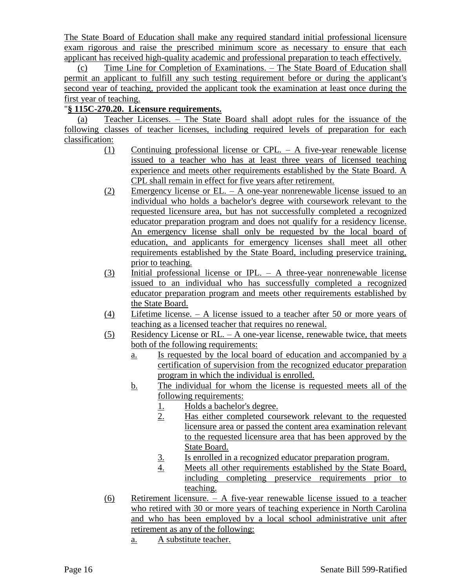The State Board of Education shall make any required standard initial professional licensure exam rigorous and raise the prescribed minimum score as necessary to ensure that each applicant has received high-quality academic and professional preparation to teach effectively.

(c) Time Line for Completion of Examinations. – The State Board of Education shall permit an applicant to fulfill any such testing requirement before or during the applicant's second year of teaching, provided the applicant took the examination at least once during the first year of teaching.

# "**§ 115C-270.20. Licensure requirements.**

(a) Teacher Licenses. – The State Board shall adopt rules for the issuance of the following classes of teacher licenses, including required levels of preparation for each classification:

- (1) Continuing professional license or CPL. A five-year renewable license issued to a teacher who has at least three years of licensed teaching experience and meets other requirements established by the State Board. A CPL shall remain in effect for five years after retirement.
- $(2)$  Emergency license or EL. A one-year nonrenewable license issued to an individual who holds a bachelor's degree with coursework relevant to the requested licensure area, but has not successfully completed a recognized educator preparation program and does not qualify for a residency license. An emergency license shall only be requested by the local board of education, and applicants for emergency licenses shall meet all other requirements established by the State Board, including preservice training, prior to teaching.
- (3) Initial professional license or IPL. A three-year nonrenewable license issued to an individual who has successfully completed a recognized educator preparation program and meets other requirements established by the State Board.
- (4) Lifetime license. A license issued to a teacher after 50 or more years of teaching as a licensed teacher that requires no renewal.
- (5) Residency License or RL. A one-year license, renewable twice, that meets both of the following requirements:
	- a. Is requested by the local board of education and accompanied by a certification of supervision from the recognized educator preparation program in which the individual is enrolled.
	- b. The individual for whom the license is requested meets all of the following requirements:
		- 1. Holds a bachelor's degree.
		- 2. Has either completed coursework relevant to the requested licensure area or passed the content area examination relevant to the requested licensure area that has been approved by the State Board.
		- 3. Is enrolled in a recognized educator preparation program.
		- 4. Meets all other requirements established by the State Board, including completing preservice requirements prior to teaching.
- (6) Retirement licensure. A five-year renewable license issued to a teacher who retired with 30 or more years of teaching experience in North Carolina and who has been employed by a local school administrative unit after retirement as any of the following:
	- a. A substitute teacher.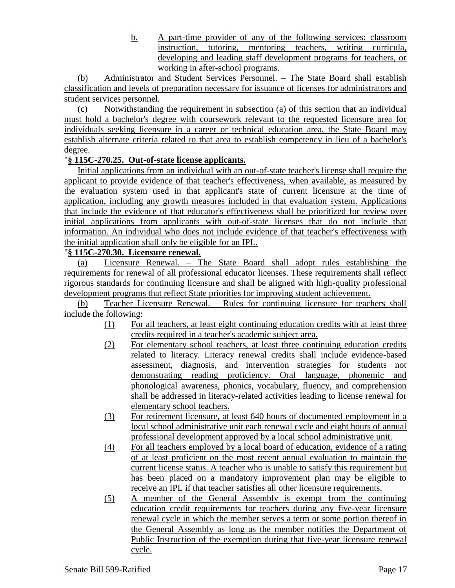b. A part-time provider of any of the following services: classroom instruction, tutoring, mentoring teachers, writing curricula, developing and leading staff development programs for teachers, or working in after-school programs.

(b) Administrator and Student Services Personnel. – The State Board shall establish classification and levels of preparation necessary for issuance of licenses for administrators and student services personnel.

(c) Notwithstanding the requirement in subsection (a) of this section that an individual must hold a bachelor's degree with coursework relevant to the requested licensure area for individuals seeking licensure in a career or technical education area, the State Board may establish alternate criteria related to that area to establish competency in lieu of a bachelor's degree.

# "**§ 115C-270.25. Out-of-state license applicants.**

Initial applications from an individual with an out-of-state teacher's license shall require the applicant to provide evidence of that teacher's effectiveness, when available, as measured by the evaluation system used in that applicant's state of current licensure at the time of application, including any growth measures included in that evaluation system. Applications that include the evidence of that educator's effectiveness shall be prioritized for review over initial applications from applicants with out-of-state licenses that do not include that information. An individual who does not include evidence of that teacher's effectiveness with the initial application shall only be eligible for an IPL.

# "**§ 115C-270.30. Licensure renewal.**

(a) Licensure Renewal. – The State Board shall adopt rules establishing the requirements for renewal of all professional educator licenses. These requirements shall reflect rigorous standards for continuing licensure and shall be aligned with high-quality professional development programs that reflect State priorities for improving student achievement.

(b) Teacher Licensure Renewal. – Rules for continuing licensure for teachers shall include the following:

- (1) For all teachers, at least eight continuing education credits with at least three credits required in a teacher's academic subject area.
- (2) For elementary school teachers, at least three continuing education credits related to literacy. Literacy renewal credits shall include evidence-based assessment, diagnosis, and intervention strategies for students not demonstrating reading proficiency. Oral language, phonemic and phonological awareness, phonics, vocabulary, fluency, and comprehension shall be addressed in literacy-related activities leading to license renewal for elementary school teachers.
- (3) For retirement licensure, at least 640 hours of documented employment in a local school administrative unit each renewal cycle and eight hours of annual professional development approved by a local school administrative unit.
- (4) For all teachers employed by a local board of education, evidence of a rating of at least proficient on the most recent annual evaluation to maintain the current license status. A teacher who is unable to satisfy this requirement but has been placed on a mandatory improvement plan may be eligible to receive an IPL if that teacher satisfies all other licensure requirements.
- (5) A member of the General Assembly is exempt from the continuing education credit requirements for teachers during any five-year licensure renewal cycle in which the member serves a term or some portion thereof in the General Assembly as long as the member notifies the Department of Public Instruction of the exemption during that five-year licensure renewal cycle.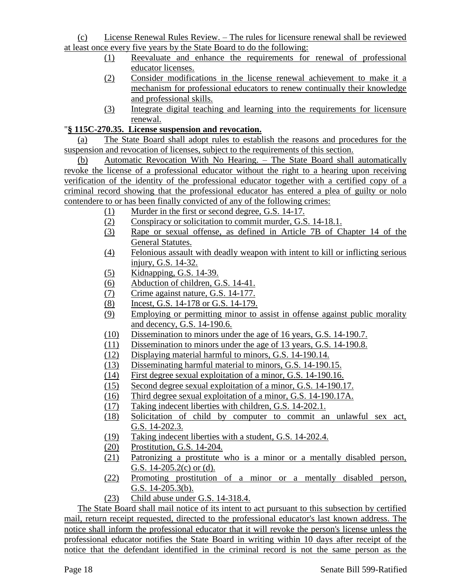(c) License Renewal Rules Review. – The rules for licensure renewal shall be reviewed at least once every five years by the State Board to do the following:

- (1) Reevaluate and enhance the requirements for renewal of professional educator licenses.
- (2) Consider modifications in the license renewal achievement to make it a mechanism for professional educators to renew continually their knowledge and professional skills.
- (3) Integrate digital teaching and learning into the requirements for licensure renewal.

# "**§ 115C-270.35. License suspension and revocation.**

(a) The State Board shall adopt rules to establish the reasons and procedures for the suspension and revocation of licenses, subject to the requirements of this section.

(b) Automatic Revocation With No Hearing. – The State Board shall automatically revoke the license of a professional educator without the right to a hearing upon receiving verification of the identity of the professional educator together with a certified copy of a criminal record showing that the professional educator has entered a plea of guilty or nolo contendere to or has been finally convicted of any of the following crimes:

- (1) Murder in the first or second degree, G.S. 14-17.
- (2) Conspiracy or solicitation to commit murder, G.S. 14-18.1.
- (3) Rape or sexual offense, as defined in Article 7B of Chapter 14 of the General Statutes.
- (4) Felonious assault with deadly weapon with intent to kill or inflicting serious injury, G.S. 14-32.
- (5) Kidnapping, G.S. 14-39.
- (6) Abduction of children, G.S. 14-41.
- (7) Crime against nature, G.S. 14-177.
- (8) Incest, G.S. 14-178 or G.S. 14-179.
- (9) Employing or permitting minor to assist in offense against public morality and decency, G.S. 14-190.6.
- (10) Dissemination to minors under the age of 16 years, G.S. 14-190.7.
- (11) Dissemination to minors under the age of 13 years, G.S. 14-190.8.
- (12) Displaying material harmful to minors, G.S. 14-190.14.
- (13) Disseminating harmful material to minors, G.S. 14-190.15.
- (14) First degree sexual exploitation of a minor, G.S. 14-190.16.
- (15) Second degree sexual exploitation of a minor, G.S. 14-190.17.
- (16) Third degree sexual exploitation of a minor, G.S. 14-190.17A.
- (17) Taking indecent liberties with children, G.S. 14-202.1.
- (18) Solicitation of child by computer to commit an unlawful sex act, G.S. 14-202.3.
- (19) Taking indecent liberties with a student, G.S. 14-202.4.
- (20) Prostitution, G.S. 14-204.
- (21) Patronizing a prostitute who is a minor or a mentally disabled person, G.S. 14-205.2(c) or (d).
- (22) Promoting prostitution of a minor or a mentally disabled person, G.S. 14-205.3(b).
- (23) Child abuse under G.S. 14-318.4.

The State Board shall mail notice of its intent to act pursuant to this subsection by certified mail, return receipt requested, directed to the professional educator's last known address. The notice shall inform the professional educator that it will revoke the person's license unless the professional educator notifies the State Board in writing within 10 days after receipt of the notice that the defendant identified in the criminal record is not the same person as the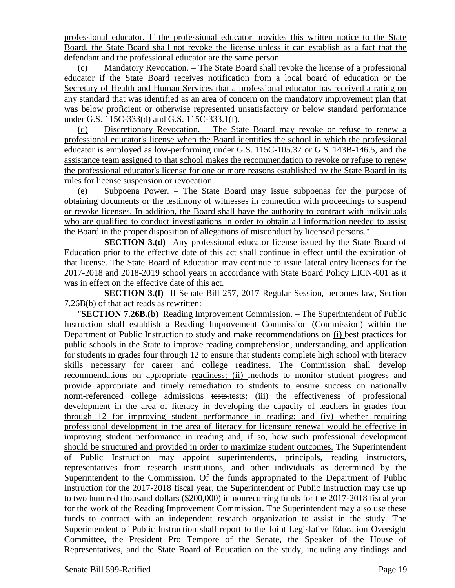professional educator. If the professional educator provides this written notice to the State Board, the State Board shall not revoke the license unless it can establish as a fact that the defendant and the professional educator are the same person.

(c) Mandatory Revocation. – The State Board shall revoke the license of a professional educator if the State Board receives notification from a local board of education or the Secretary of Health and Human Services that a professional educator has received a rating on any standard that was identified as an area of concern on the mandatory improvement plan that was below proficient or otherwise represented unsatisfactory or below standard performance under G.S. 115C-333(d) and G.S. 115C-333.1(f).

(d) Discretionary Revocation. – The State Board may revoke or refuse to renew a professional educator's license when the Board identifies the school in which the professional educator is employed as low-performing under G.S. 115C-105.37 or G.S. 143B-146.5, and the assistance team assigned to that school makes the recommendation to revoke or refuse to renew the professional educator's license for one or more reasons established by the State Board in its rules for license suspension or revocation.

(e) Subpoena Power. – The State Board may issue subpoenas for the purpose of obtaining documents or the testimony of witnesses in connection with proceedings to suspend or revoke licenses. In addition, the Board shall have the authority to contract with individuals who are qualified to conduct investigations in order to obtain all information needed to assist the Board in the proper disposition of allegations of misconduct by licensed persons."

**SECTION 3.(d)** Any professional educator license issued by the State Board of Education prior to the effective date of this act shall continue in effect until the expiration of that license. The State Board of Education may continue to issue lateral entry licenses for the 2017-2018 and 2018-2019 school years in accordance with State Board Policy LICN-001 as it was in effect on the effective date of this act.

**SECTION 3.(f)** If Senate Bill 257, 2017 Regular Session, becomes law, Section 7.26B(b) of that act reads as rewritten:

"**SECTION 7.26B.(b)** Reading Improvement Commission. – The Superintendent of Public Instruction shall establish a Reading Improvement Commission (Commission) within the Department of Public Instruction to study and make recommendations on (i) best practices for public schools in the State to improve reading comprehension, understanding, and application for students in grades four through 12 to ensure that students complete high school with literacy skills necessary for career and college readiness. The Commission shall develop recommendations on appropriate readiness; (ii) methods to monitor student progress and provide appropriate and timely remediation to students to ensure success on nationally norm-referenced college admissions tests.tests; (iii) the effectiveness of professional development in the area of literacy in developing the capacity of teachers in grades four through 12 for improving student performance in reading; and (iv) whether requiring professional development in the area of literacy for licensure renewal would be effective in improving student performance in reading and, if so, how such professional development should be structured and provided in order to maximize student outcomes. The Superintendent of Public Instruction may appoint superintendents, principals, reading instructors, representatives from research institutions, and other individuals as determined by the Superintendent to the Commission. Of the funds appropriated to the Department of Public Instruction for the 2017-2018 fiscal year, the Superintendent of Public Instruction may use up to two hundred thousand dollars (\$200,000) in nonrecurring funds for the 2017-2018 fiscal year for the work of the Reading Improvement Commission. The Superintendent may also use these funds to contract with an independent research organization to assist in the study. The Superintendent of Public Instruction shall report to the Joint Legislative Education Oversight Committee, the President Pro Tempore of the Senate, the Speaker of the House of Representatives, and the State Board of Education on the study, including any findings and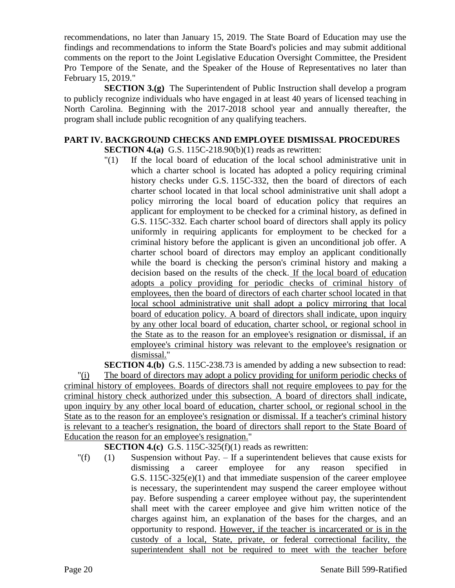recommendations, no later than January 15, 2019. The State Board of Education may use the findings and recommendations to inform the State Board's policies and may submit additional comments on the report to the Joint Legislative Education Oversight Committee, the President Pro Tempore of the Senate, and the Speaker of the House of Representatives no later than February 15, 2019."

**SECTION 3.(g)** The Superintendent of Public Instruction shall develop a program to publicly recognize individuals who have engaged in at least 40 years of licensed teaching in North Carolina. Beginning with the 2017-2018 school year and annually thereafter, the program shall include public recognition of any qualifying teachers.

# **PART IV. BACKGROUND CHECKS AND EMPLOYEE DISMISSAL PROCEDURES SECTION 4.(a)** G.S. 115C-218.90(b)(1) reads as rewritten:

"(1) If the local board of education of the local school administrative unit in which a charter school is located has adopted a policy requiring criminal history checks under G.S. 115C-332, then the board of directors of each charter school located in that local school administrative unit shall adopt a policy mirroring the local board of education policy that requires an applicant for employment to be checked for a criminal history, as defined in G.S. 115C-332. Each charter school board of directors shall apply its policy uniformly in requiring applicants for employment to be checked for a criminal history before the applicant is given an unconditional job offer. A charter school board of directors may employ an applicant conditionally while the board is checking the person's criminal history and making a decision based on the results of the check. If the local board of education adopts a policy providing for periodic checks of criminal history of employees, then the board of directors of each charter school located in that local school administrative unit shall adopt a policy mirroring that local board of education policy. A board of directors shall indicate, upon inquiry by any other local board of education, charter school, or regional school in the State as to the reason for an employee's resignation or dismissal, if an employee's criminal history was relevant to the employee's resignation or dismissal."

**SECTION 4.(b)** G.S. 115C-238.73 is amended by adding a new subsection to read:

"(i) The board of directors may adopt a policy providing for uniform periodic checks of criminal history of employees. Boards of directors shall not require employees to pay for the criminal history check authorized under this subsection. A board of directors shall indicate, upon inquiry by any other local board of education, charter school, or regional school in the State as to the reason for an employee's resignation or dismissal. If a teacher's criminal history is relevant to a teacher's resignation, the board of directors shall report to the State Board of Education the reason for an employee's resignation."

**SECTION 4.(c)** G.S. 115C-325(f)(1) reads as rewritten:

 $\Gamma(f)$  (1) Suspension without Pay. – If a superintendent believes that cause exists for dismissing a career employee for any reason specified in G.S. 115C-325(e)(1) and that immediate suspension of the career employee is necessary, the superintendent may suspend the career employee without pay. Before suspending a career employee without pay, the superintendent shall meet with the career employee and give him written notice of the charges against him, an explanation of the bases for the charges, and an opportunity to respond. However, if the teacher is incarcerated or is in the custody of a local, State, private, or federal correctional facility, the superintendent shall not be required to meet with the teacher before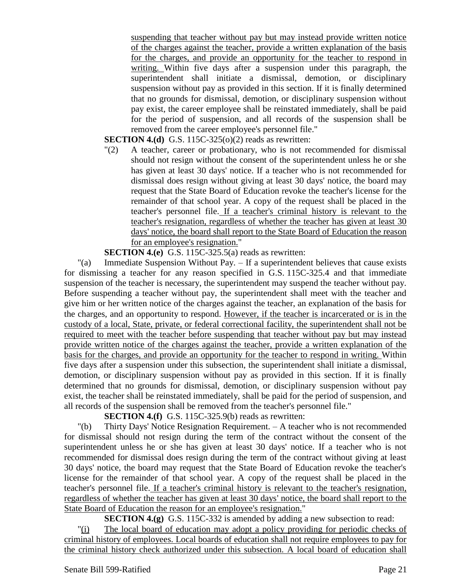suspending that teacher without pay but may instead provide written notice of the charges against the teacher, provide a written explanation of the basis for the charges, and provide an opportunity for the teacher to respond in writing. Within five days after a suspension under this paragraph, the superintendent shall initiate a dismissal, demotion, or disciplinary suspension without pay as provided in this section. If it is finally determined that no grounds for dismissal, demotion, or disciplinary suspension without pay exist, the career employee shall be reinstated immediately, shall be paid for the period of suspension, and all records of the suspension shall be removed from the career employee's personnel file."

**SECTION 4.(d)** G.S. 115C-325(o)(2) reads as rewritten:

"(2) A teacher, career or probationary, who is not recommended for dismissal should not resign without the consent of the superintendent unless he or she has given at least 30 days' notice. If a teacher who is not recommended for dismissal does resign without giving at least 30 days' notice, the board may request that the State Board of Education revoke the teacher's license for the remainder of that school year. A copy of the request shall be placed in the teacher's personnel file. If a teacher's criminal history is relevant to the teacher's resignation, regardless of whether the teacher has given at least 30 days' notice, the board shall report to the State Board of Education the reason for an employee's resignation."

#### **SECTION 4.(e)** G.S. 115C-325.5(a) reads as rewritten:

"(a) Immediate Suspension Without Pay. – If a superintendent believes that cause exists for dismissing a teacher for any reason specified in G.S. 115C-325.4 and that immediate suspension of the teacher is necessary, the superintendent may suspend the teacher without pay. Before suspending a teacher without pay, the superintendent shall meet with the teacher and give him or her written notice of the charges against the teacher, an explanation of the basis for the charges, and an opportunity to respond. However, if the teacher is incarcerated or is in the custody of a local, State, private, or federal correctional facility, the superintendent shall not be required to meet with the teacher before suspending that teacher without pay but may instead provide written notice of the charges against the teacher, provide a written explanation of the basis for the charges, and provide an opportunity for the teacher to respond in writing. Within five days after a suspension under this subsection, the superintendent shall initiate a dismissal, demotion, or disciplinary suspension without pay as provided in this section. If it is finally determined that no grounds for dismissal, demotion, or disciplinary suspension without pay exist, the teacher shall be reinstated immediately, shall be paid for the period of suspension, and all records of the suspension shall be removed from the teacher's personnel file."

# **SECTION 4.(f)** G.S. 115C-325.9(b) reads as rewritten:

"(b) Thirty Days' Notice Resignation Requirement. – A teacher who is not recommended for dismissal should not resign during the term of the contract without the consent of the superintendent unless he or she has given at least 30 days' notice. If a teacher who is not recommended for dismissal does resign during the term of the contract without giving at least 30 days' notice, the board may request that the State Board of Education revoke the teacher's license for the remainder of that school year. A copy of the request shall be placed in the teacher's personnel file. If a teacher's criminal history is relevant to the teacher's resignation, regardless of whether the teacher has given at least 30 days' notice, the board shall report to the State Board of Education the reason for an employee's resignation."

**SECTION 4.(g)** G.S. 115C-332 is amended by adding a new subsection to read:

"(i) The local board of education may adopt a policy providing for periodic checks of criminal history of employees. Local boards of education shall not require employees to pay for the criminal history check authorized under this subsection. A local board of education shall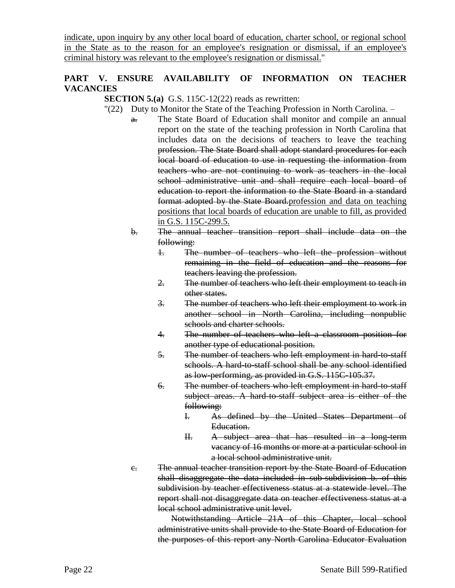indicate, upon inquiry by any other local board of education, charter school, or regional school in the State as to the reason for an employee's resignation or dismissal, if an employee's criminal history was relevant to the employee's resignation or dismissal."

# **PART V. ENSURE AVAILABILITY OF INFORMATION ON TEACHER VACANCIES**

**SECTION 5.(a)** G.S. 115C-12(22) reads as rewritten:

- "(22) Duty to Monitor the State of the Teaching Profession in North Carolina.
	- a. The State Board of Education shall monitor and compile an annual report on the state of the teaching profession in North Carolina that includes data on the decisions of teachers to leave the teaching profession. The State Board shall adopt standard procedures for each local board of education to use in requesting the information from teachers who are not continuing to work as teachers in the local school administrative unit and shall require each local board of education to report the information to the State Board in a standard format adopted by the State Board.profession and data on teaching positions that local boards of education are unable to fill, as provided in G.S. 115C-299.5.
		- b. The annual teacher transition report shall include data on the following:
			- 1. The number of teachers who left the profession without remaining in the field of education and the reasons for teachers leaving the profession.
			- 2. The number of teachers who left their employment to teach in other states.
			- 3. The number of teachers who left their employment to work in another school in North Carolina, including nonpublic schools and charter schools.
			- 4. The number of teachers who left a classroom position for another type of educational position.
			- 5. The number of teachers who left employment in hard-to-staff schools. A hard-to-staff school shall be any school identified as low-performing, as provided in G.S. 115C-105.37.
			- 6. The number of teachers who left employment in hard-to-staff subject areas. A hard-to-staff subject area is either of the following:
				- I. As defined by the United States Department of Education.
				- II. A subject area that has resulted in a long-term vacancy of 16 months or more at a particular school in a local school administrative unit.
		- c. The annual teacher transition report by the State Board of Education shall disaggregate the data included in sub-subdivision b. of this subdivision by teacher effectiveness status at a statewide level. The report shall not disaggregate data on teacher effectiveness status at a local school administrative unit level.

Notwithstanding Article 21A of this Chapter, local school administrative units shall provide to the State Board of Education for the purposes of this report any North Carolina Educator Evaluation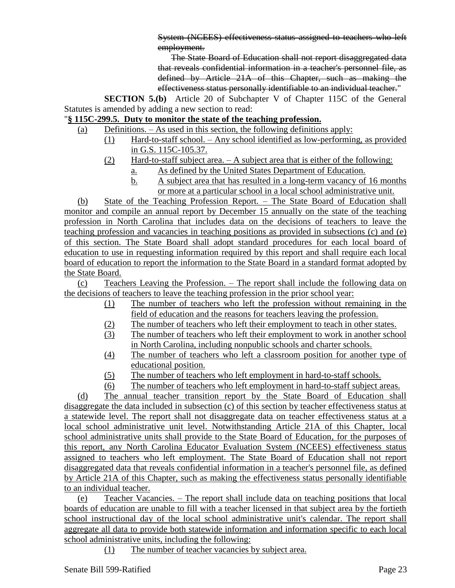System (NCEES) effectiveness status assigned to teachers who left employment.

The State Board of Education shall not report disaggregated data that reveals confidential information in a teacher's personnel file, as defined by Article 21A of this Chapter, such as making the effectiveness status personally identifiable to an individual teacher."

**SECTION 5.(b)** Article 20 of Subchapter V of Chapter 115C of the General Statutes is amended by adding a new section to read:

# "**§ 115C-299.5. Duty to monitor the state of the teaching profession.**

- (a) Definitions. As used in this section, the following definitions apply:
	- (1) Hard-to-staff school. Any school identified as low-performing, as provided in G.S. 115C-105.37.
	- (2) Hard-to-staff subject area. A subject area that is either of the following:
		- a. As defined by the United States Department of Education.
		- b. A subject area that has resulted in a long-term vacancy of 16 months or more at a particular school in a local school administrative unit.

(b) State of the Teaching Profession Report. – The State Board of Education shall monitor and compile an annual report by December 15 annually on the state of the teaching profession in North Carolina that includes data on the decisions of teachers to leave the teaching profession and vacancies in teaching positions as provided in subsections (c) and (e) of this section. The State Board shall adopt standard procedures for each local board of education to use in requesting information required by this report and shall require each local board of education to report the information to the State Board in a standard format adopted by the State Board.

(c) Teachers Leaving the Profession. – The report shall include the following data on the decisions of teachers to leave the teaching profession in the prior school year:

- (1) The number of teachers who left the profession without remaining in the field of education and the reasons for teachers leaving the profession.
- (2) The number of teachers who left their employment to teach in other states.
- (3) The number of teachers who left their employment to work in another school in North Carolina, including nonpublic schools and charter schools.
- (4) The number of teachers who left a classroom position for another type of educational position.
- (5) The number of teachers who left employment in hard-to-staff schools.
- (6) The number of teachers who left employment in hard-to-staff subject areas.

(d) The annual teacher transition report by the State Board of Education shall disaggregate the data included in subsection (c) of this section by teacher effectiveness status at a statewide level. The report shall not disaggregate data on teacher effectiveness status at a local school administrative unit level. Notwithstanding Article 21A of this Chapter, local school administrative units shall provide to the State Board of Education, for the purposes of this report, any North Carolina Educator Evaluation System (NCEES) effectiveness status assigned to teachers who left employment. The State Board of Education shall not report disaggregated data that reveals confidential information in a teacher's personnel file, as defined by Article 21A of this Chapter, such as making the effectiveness status personally identifiable to an individual teacher.

(e) Teacher Vacancies. – The report shall include data on teaching positions that local boards of education are unable to fill with a teacher licensed in that subject area by the fortieth school instructional day of the local school administrative unit's calendar. The report shall aggregate all data to provide both statewide information and information specific to each local school administrative units, including the following:

(1) The number of teacher vacancies by subject area.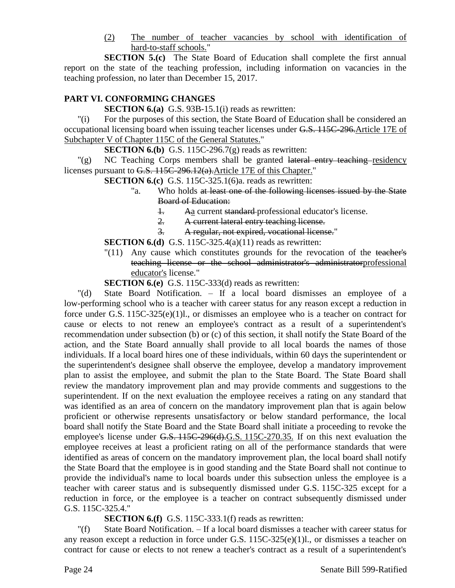(2) The number of teacher vacancies by school with identification of hard-to-staff schools."

**SECTION 5.(c)** The State Board of Education shall complete the first annual report on the state of the teaching profession, including information on vacancies in the teaching profession, no later than December 15, 2017.

# **PART VI. CONFORMING CHANGES**

**SECTION 6.(a)** G.S. 93B-15.1(i) reads as rewritten:

"(i) For the purposes of this section, the State Board of Education shall be considered an occupational licensing board when issuing teacher licenses under G.S. 115C-296.Article 17E of Subchapter V of Chapter 115C of the General Statutes."

**SECTION 6.(b)** G.S. 115C-296.7(g) reads as rewritten:

"(g) NC Teaching Corps members shall be granted lateral entry teaching residency licenses pursuant to G.S. 115C-296.12(a).Article 17E of this Chapter."

**SECTION 6.(c)** G.S. 115C-325.1(6)a. reads as rewritten:

- "a. Who holds at least one of the following licenses issued by the State Board of Education:
	- 1. Aa current standard professional educator's license.
	- 2. A current lateral entry teaching license.
	- 3. A regular, not expired, vocational license."

### **SECTION 6.(d)** G.S. 115C-325.4(a)(11) reads as rewritten:

 $\sqrt{(11)}$  Any cause which constitutes grounds for the revocation of the teacher's teaching license or the school administrator's administratorprofessional educator's license."

**SECTION 6.(e)** G.S. 115C-333(d) reads as rewritten:

"(d) State Board Notification. – If a local board dismisses an employee of a low-performing school who is a teacher with career status for any reason except a reduction in force under G.S. 115C-325(e)(1)l., or dismisses an employee who is a teacher on contract for cause or elects to not renew an employee's contract as a result of a superintendent's recommendation under subsection (b) or (c) of this section, it shall notify the State Board of the action, and the State Board annually shall provide to all local boards the names of those individuals. If a local board hires one of these individuals, within 60 days the superintendent or the superintendent's designee shall observe the employee, develop a mandatory improvement plan to assist the employee, and submit the plan to the State Board. The State Board shall review the mandatory improvement plan and may provide comments and suggestions to the superintendent. If on the next evaluation the employee receives a rating on any standard that was identified as an area of concern on the mandatory improvement plan that is again below proficient or otherwise represents unsatisfactory or below standard performance, the local board shall notify the State Board and the State Board shall initiate a proceeding to revoke the employee's license under G.S. 115C-296(d). G.S. 115C-270.35. If on this next evaluation the employee receives at least a proficient rating on all of the performance standards that were identified as areas of concern on the mandatory improvement plan, the local board shall notify the State Board that the employee is in good standing and the State Board shall not continue to provide the individual's name to local boards under this subsection unless the employee is a teacher with career status and is subsequently dismissed under G.S. 115C-325 except for a reduction in force, or the employee is a teacher on contract subsequently dismissed under G.S. 115C-325.4."

# **SECTION 6.(f)** G.S. 115C-333.1(f) reads as rewritten:

"(f) State Board Notification. – If a local board dismisses a teacher with career status for any reason except a reduction in force under G.S. 115C-325(e)(1)l., or dismisses a teacher on contract for cause or elects to not renew a teacher's contract as a result of a superintendent's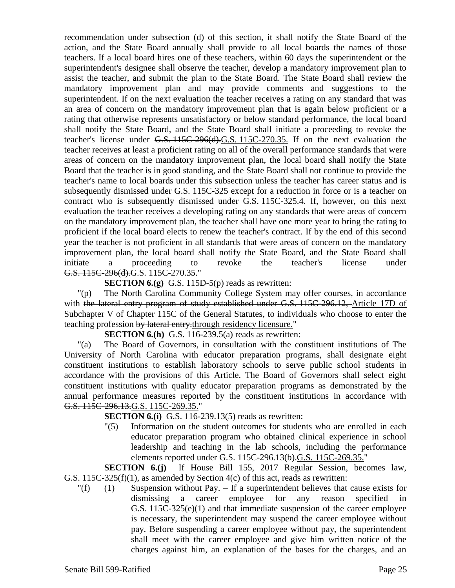recommendation under subsection (d) of this section, it shall notify the State Board of the action, and the State Board annually shall provide to all local boards the names of those teachers. If a local board hires one of these teachers, within 60 days the superintendent or the superintendent's designee shall observe the teacher, develop a mandatory improvement plan to assist the teacher, and submit the plan to the State Board. The State Board shall review the mandatory improvement plan and may provide comments and suggestions to the superintendent. If on the next evaluation the teacher receives a rating on any standard that was an area of concern on the mandatory improvement plan that is again below proficient or a rating that otherwise represents unsatisfactory or below standard performance, the local board shall notify the State Board, and the State Board shall initiate a proceeding to revoke the teacher's license under G.S. 115C-296(d).G.S. 115C-270.35. If on the next evaluation the teacher receives at least a proficient rating on all of the overall performance standards that were areas of concern on the mandatory improvement plan, the local board shall notify the State Board that the teacher is in good standing, and the State Board shall not continue to provide the teacher's name to local boards under this subsection unless the teacher has career status and is subsequently dismissed under G.S. 115C-325 except for a reduction in force or is a teacher on contract who is subsequently dismissed under G.S. 115C-325.4. If, however, on this next evaluation the teacher receives a developing rating on any standards that were areas of concern on the mandatory improvement plan, the teacher shall have one more year to bring the rating to proficient if the local board elects to renew the teacher's contract. If by the end of this second year the teacher is not proficient in all standards that were areas of concern on the mandatory improvement plan, the local board shall notify the State Board, and the State Board shall initiate a proceeding to revoke the teacher's license under G.S. 115C-296(d).G.S. 115C-270.35."

**SECTION 6.(g)** G.S. 115D-5(p) reads as rewritten:

"(p) The North Carolina Community College System may offer courses, in accordance with the lateral entry program of study established under G.S. 115C-296.12, Article 17D of Subchapter V of Chapter 115C of the General Statutes, to individuals who choose to enter the teaching profession by lateral entry.through residency licensure."

**SECTION 6.(h)** G.S. 116-239.5(a) reads as rewritten:

"(a) The Board of Governors, in consultation with the constituent institutions of The University of North Carolina with educator preparation programs, shall designate eight constituent institutions to establish laboratory schools to serve public school students in accordance with the provisions of this Article. The Board of Governors shall select eight constituent institutions with quality educator preparation programs as demonstrated by the annual performance measures reported by the constituent institutions in accordance with G.S. 115C-296.13.G.S. 115C-269.35."

**SECTION 6.(i)** G.S. 116-239.13(5) reads as rewritten:

"(5) Information on the student outcomes for students who are enrolled in each educator preparation program who obtained clinical experience in school leadership and teaching in the lab schools, including the performance elements reported under G.S. 115C-296.13(b).G.S. 115C-269.35."

**SECTION 6.(j)** If House Bill 155, 2017 Regular Session, becomes law, G.S. 115C-325(f)(1), as amended by Section 4(c) of this act, reads as rewritten:

 $'(f)$  (1) Suspension without Pay. – If a superintendent believes that cause exists for dismissing a career employee for any reason specified in G.S. 115C-325(e)(1) and that immediate suspension of the career employee is necessary, the superintendent may suspend the career employee without pay. Before suspending a career employee without pay, the superintendent shall meet with the career employee and give him written notice of the charges against him, an explanation of the bases for the charges, and an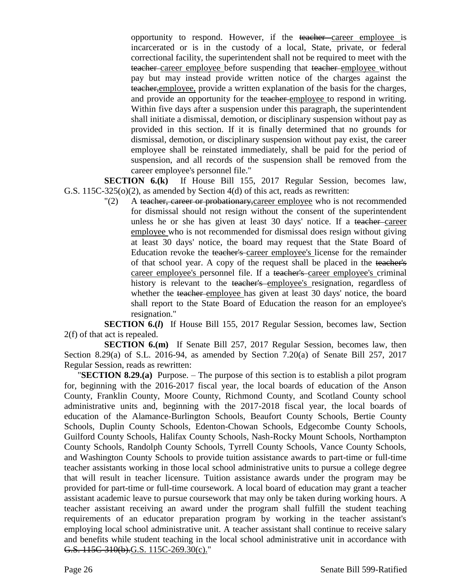opportunity to respond. However, if the teacher career employee is incarcerated or is in the custody of a local, State, private, or federal correctional facility, the superintendent shall not be required to meet with the teacher career employee before suspending that teacher employee without pay but may instead provide written notice of the charges against the teacher,employee, provide a written explanation of the basis for the charges, and provide an opportunity for the teacher employee to respond in writing. Within five days after a suspension under this paragraph, the superintendent shall initiate a dismissal, demotion, or disciplinary suspension without pay as provided in this section. If it is finally determined that no grounds for dismissal, demotion, or disciplinary suspension without pay exist, the career employee shall be reinstated immediately, shall be paid for the period of suspension, and all records of the suspension shall be removed from the career employee's personnel file."

**SECTION 6.(k)** If House Bill 155, 2017 Regular Session, becomes law, G.S. 115C-325(o)(2), as amended by Section 4(d) of this act, reads as rewritten:

"(2) A teacher, career or probationary, career employee who is not recommended for dismissal should not resign without the consent of the superintendent unless he or she has given at least 30 days' notice. If a teacher career employee who is not recommended for dismissal does resign without giving at least 30 days' notice, the board may request that the State Board of Education revoke the teacher's career employee's license for the remainder of that school year. A copy of the request shall be placed in the teacher's career employee's personnel file. If a teacher's career employee's criminal history is relevant to the teacher's employee's resignation, regardless of whether the teacher employee has given at least 30 days' notice, the board shall report to the State Board of Education the reason for an employee's resignation."

**SECTION 6.(***l***)** If House Bill 155, 2017 Regular Session, becomes law, Section 2(f) of that act is repealed.

**SECTION 6.(m)** If Senate Bill 257, 2017 Regular Session, becomes law, then Section 8.29(a) of S.L. 2016-94, as amended by Section 7.20(a) of Senate Bill 257, 2017 Regular Session, reads as rewritten:

"**SECTION 8.29.(a)** Purpose. – The purpose of this section is to establish a pilot program for, beginning with the 2016-2017 fiscal year, the local boards of education of the Anson County, Franklin County, Moore County, Richmond County, and Scotland County school administrative units and, beginning with the 2017-2018 fiscal year, the local boards of education of the Alamance-Burlington Schools, Beaufort County Schools, Bertie County Schools, Duplin County Schools, Edenton-Chowan Schools, Edgecombe County Schools, Guilford County Schools, Halifax County Schools, Nash-Rocky Mount Schools, Northampton County Schools, Randolph County Schools, Tyrrell County Schools, Vance County Schools, and Washington County Schools to provide tuition assistance awards to part-time or full-time teacher assistants working in those local school administrative units to pursue a college degree that will result in teacher licensure. Tuition assistance awards under the program may be provided for part-time or full-time coursework. A local board of education may grant a teacher assistant academic leave to pursue coursework that may only be taken during working hours. A teacher assistant receiving an award under the program shall fulfill the student teaching requirements of an educator preparation program by working in the teacher assistant's employing local school administrative unit. A teacher assistant shall continue to receive salary and benefits while student teaching in the local school administrative unit in accordance with G.S. 115C-310(b).G.S. 115C-269.30(c)."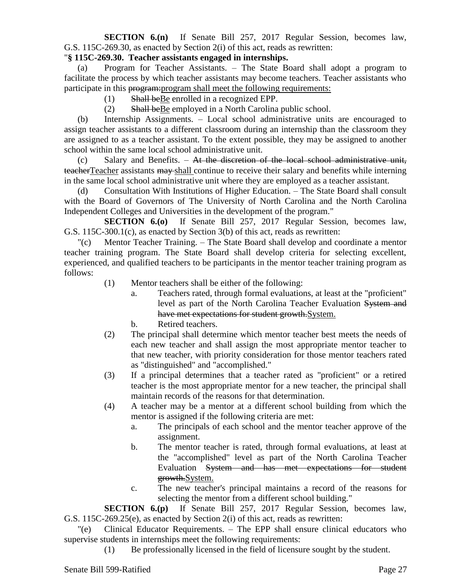# **SECTION 6.(n)** If Senate Bill 257, 2017 Regular Session, becomes law, G.S. 115C-269.30, as enacted by Section 2(i) of this act, reads as rewritten:

### "**§ 115C-269.30. Teacher assistants engaged in internships.**

(a) Program for Teacher Assistants. – The State Board shall adopt a program to facilitate the process by which teacher assistants may become teachers. Teacher assistants who participate in this program:program shall meet the following requirements:

- (1) Shall beBe enrolled in a recognized EPP.
- (2) Shall beBe employed in a North Carolina public school.

(b) Internship Assignments. – Local school administrative units are encouraged to assign teacher assistants to a different classroom during an internship than the classroom they are assigned to as a teacher assistant. To the extent possible, they may be assigned to another school within the same local school administrative unit.

 $(c)$  Salary and Benefits. – At the discretion of the local school administrative unit, teacherTeacher assistants may shall continue to receive their salary and benefits while interning in the same local school administrative unit where they are employed as a teacher assistant.

(d) Consultation With Institutions of Higher Education. – The State Board shall consult with the Board of Governors of The University of North Carolina and the North Carolina Independent Colleges and Universities in the development of the program."

**SECTION 6.(o)** If Senate Bill 257, 2017 Regular Session, becomes law, G.S. 115C-300.1(c), as enacted by Section 3(b) of this act, reads as rewritten:

"(c) Mentor Teacher Training. – The State Board shall develop and coordinate a mentor teacher training program. The State Board shall develop criteria for selecting excellent, experienced, and qualified teachers to be participants in the mentor teacher training program as follows:

- (1) Mentor teachers shall be either of the following:
	- a. Teachers rated, through formal evaluations, at least at the "proficient" level as part of the North Carolina Teacher Evaluation System and have met expectations for student growth.System.
	- b. Retired teachers.
- (2) The principal shall determine which mentor teacher best meets the needs of each new teacher and shall assign the most appropriate mentor teacher to that new teacher, with priority consideration for those mentor teachers rated as "distinguished" and "accomplished."
- (3) If a principal determines that a teacher rated as "proficient" or a retired teacher is the most appropriate mentor for a new teacher, the principal shall maintain records of the reasons for that determination.
- (4) A teacher may be a mentor at a different school building from which the mentor is assigned if the following criteria are met:
	- a. The principals of each school and the mentor teacher approve of the assignment.
	- b. The mentor teacher is rated, through formal evaluations, at least at the "accomplished" level as part of the North Carolina Teacher Evaluation System and has met expectations for student growth.System.
	- c. The new teacher's principal maintains a record of the reasons for selecting the mentor from a different school building."

**SECTION 6.(p)** If Senate Bill 257, 2017 Regular Session, becomes law, G.S. 115C-269.25(e), as enacted by Section 2(i) of this act, reads as rewritten:

"(e) Clinical Educator Requirements. – The EPP shall ensure clinical educators who supervise students in internships meet the following requirements:

(1) Be professionally licensed in the field of licensure sought by the student.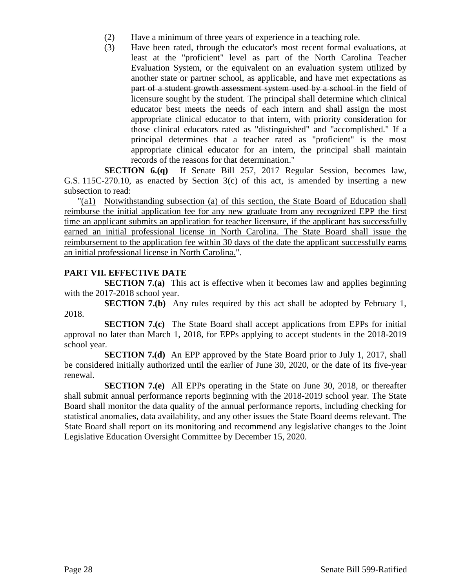- (2) Have a minimum of three years of experience in a teaching role.
- (3) Have been rated, through the educator's most recent formal evaluations, at least at the "proficient" level as part of the North Carolina Teacher Evaluation System, or the equivalent on an evaluation system utilized by another state or partner school, as applicable, and have met expectations as part of a student growth assessment system used by a school-in the field of licensure sought by the student. The principal shall determine which clinical educator best meets the needs of each intern and shall assign the most appropriate clinical educator to that intern, with priority consideration for those clinical educators rated as "distinguished" and "accomplished." If a principal determines that a teacher rated as "proficient" is the most appropriate clinical educator for an intern, the principal shall maintain records of the reasons for that determination."

**SECTION 6.(q)** If Senate Bill 257, 2017 Regular Session, becomes law, G.S. 115C-270.10, as enacted by Section 3(c) of this act, is amended by inserting a new subsection to read:

"(a1) Notwithstanding subsection (a) of this section, the State Board of Education shall reimburse the initial application fee for any new graduate from any recognized EPP the first time an applicant submits an application for teacher licensure, if the applicant has successfully earned an initial professional license in North Carolina. The State Board shall issue the reimbursement to the application fee within 30 days of the date the applicant successfully earns an initial professional license in North Carolina.".

# **PART VII. EFFECTIVE DATE**

**SECTION 7.(a)** This act is effective when it becomes law and applies beginning with the 2017-2018 school year.

**SECTION 7.(b)** Any rules required by this act shall be adopted by February 1, 2018.

**SECTION 7.(c)** The State Board shall accept applications from EPPs for initial approval no later than March 1, 2018, for EPPs applying to accept students in the 2018-2019 school year.

**SECTION 7.(d)** An EPP approved by the State Board prior to July 1, 2017, shall be considered initially authorized until the earlier of June 30, 2020, or the date of its five-year renewal.

**SECTION 7.(e)** All EPPs operating in the State on June 30, 2018, or thereafter shall submit annual performance reports beginning with the 2018-2019 school year. The State Board shall monitor the data quality of the annual performance reports, including checking for statistical anomalies, data availability, and any other issues the State Board deems relevant. The State Board shall report on its monitoring and recommend any legislative changes to the Joint Legislative Education Oversight Committee by December 15, 2020.